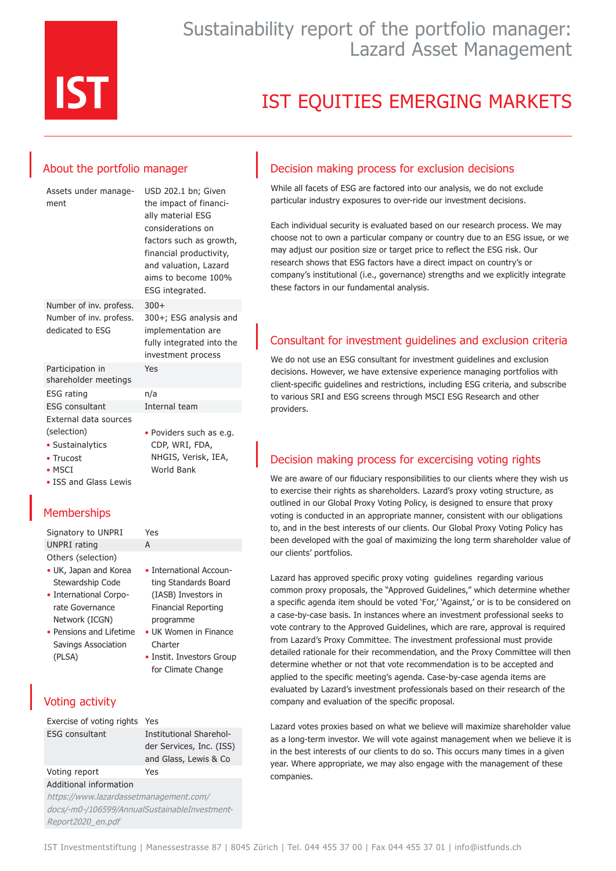

# Sustainability report of the portfolio manager: Lazard Asset Management

# IST EQUITIES EMERGING MARKETS

## About the portfolio manager

| Assets under manage-<br>ment                | USD 202.1 bn; Given<br>the impact of financi-<br>ally material ESG<br>considerations on<br>factors such as growth,<br>financial productivity,<br>and valuation, Lazard<br>aims to become 100%<br>ESG integrated. |
|---------------------------------------------|------------------------------------------------------------------------------------------------------------------------------------------------------------------------------------------------------------------|
| Number of inv. profess.                     | $300+$                                                                                                                                                                                                           |
| Number of inv. profess.<br>dedicated to ESG | 300+; ESG analysis and<br>implementation are<br>fully integrated into the<br>investment process                                                                                                                  |
| Participation in<br>shareholder meetings    | Yes                                                                                                                                                                                                              |
| ESG rating                                  | n/a                                                                                                                                                                                                              |
| <b>ESG consultant</b>                       | Internal team                                                                                                                                                                                                    |
| External data sources                       |                                                                                                                                                                                                                  |
| (selection)                                 | • Poviders such as e.g.                                                                                                                                                                                          |
| • Sustainalytics                            | CDP, WRI, FDA,                                                                                                                                                                                                   |
| • Trucost                                   | NHGIS, Verisk, IEA,                                                                                                                                                                                              |
| $\bullet$ MSCI                              | <b>World Bank</b>                                                                                                                                                                                                |
| • ISS and Glass Lewis                       |                                                                                                                                                                                                                  |

## **Memberships**

Signatory to UNPRI Yes UNPRI rating A Others (selection) • UK, Japan and Korea

- Stewardship Code
- International Corporate Governance Network (ICGN)
- Pensions and Lifetime Savings Association (PLSA)

# Voting activity

| Exercise of voting rights Yes |                          |
|-------------------------------|--------------------------|
| <b>ESG</b> consultant         | Institutional Sharehol-  |
|                               | der Services, Inc. (ISS) |
|                               | and Glass, Lewis & Co    |
| Voting report                 | Yes                      |
| Additional information        |                          |

• International Accounting Standards Board (IASB) Investors in Financial Reporting programme • UK Women in Finance

• Instit. Investors Group for Climate Change

**Charter** 

https://www.lazardassetmanagement.com/ docs/-m0-/106599/AnnualSustainableInvestment-Report2020\_en.pdf

#### Decision making process for exclusion decisions

While all facets of ESG are factored into our analysis, we do not exclude particular industry exposures to over-ride our investment decisions.

Each individual security is evaluated based on our research process. We may choose not to own a particular company or country due to an ESG issue, or we may adjust our position size or target price to reflect the ESG risk. Our research shows that ESG factors have a direct impact on country's or company's institutional (i.e., governance) strengths and we explicitly integrate these factors in our fundamental analysis.

### Consultant for investment guidelines and exclusion criteria

We do not use an ESG consultant for investment guidelines and exclusion decisions. However, we have extensive experience managing portfolios with client-specific guidelines and restrictions, including ESG criteria, and subscribe to various SRI and ESG screens through MSCI ESG Research and other providers.

## Decision making process for excercising voting rights

We are aware of our fiduciary responsibilities to our clients where they wish us to exercise their rights as shareholders. Lazard's proxy voting structure, as outlined in our Global Proxy Voting Policy, is designed to ensure that proxy voting is conducted in an appropriate manner, consistent with our obligations to, and in the best interests of our clients. Our Global Proxy Voting Policy has been developed with the goal of maximizing the long term shareholder value of our clients' portfolios.

Lazard has approved specific proxy voting guidelines regarding various common proxy proposals, the "Approved Guidelines," which determine whether a specific agenda item should be voted 'For,' 'Against,' or is to be considered on a case-by-case basis. In instances where an investment professional seeks to vote contrary to the Approved Guidelines, which are rare, approval is required from Lazard's Proxy Committee. The investment professional must provide detailed rationale for their recommendation, and the Proxy Committee will then determine whether or not that vote recommendation is to be accepted and applied to the specific meeting's agenda. Case-by-case agenda items are evaluated by Lazard's investment professionals based on their research of the company and evaluation of the specific proposal.

Lazard votes proxies based on what we believe will maximize shareholder value as a long-term investor. We will vote against management when we believe it is in the best interests of our clients to do so. This occurs many times in a given year. Where appropriate, we may also engage with the management of these companies.